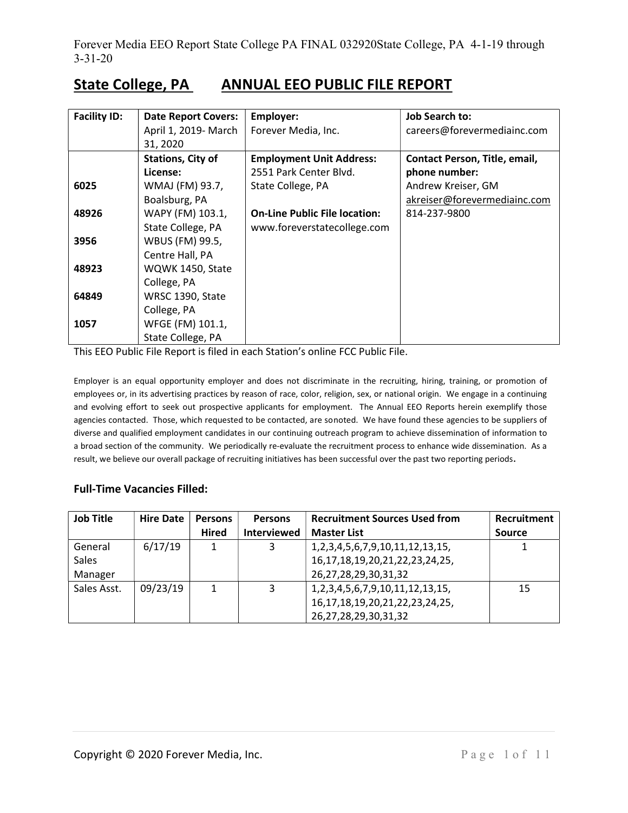# State College, PA ANNUAL EEO PUBLIC FILE REPORT

| <b>Facility ID:</b> | <b>Date Report Covers:</b> | Employer:                            | <b>Job Search to:</b>         |
|---------------------|----------------------------|--------------------------------------|-------------------------------|
|                     | April 1, 2019- March       | Forever Media, Inc.                  | careers@forevermediainc.com   |
|                     | 31, 2020                   |                                      |                               |
|                     | <b>Stations, City of</b>   | <b>Employment Unit Address:</b>      | Contact Person, Title, email, |
|                     | License:                   | 2551 Park Center Blyd.               | phone number:                 |
| 6025                | WMAJ (FM) 93.7,            | State College, PA                    | Andrew Kreiser, GM            |
|                     | Boalsburg, PA              |                                      | akreiser@forevermediainc.com  |
| 48926               | WAPY (FM) 103.1,           | <b>On-Line Public File location:</b> | 814-237-9800                  |
|                     | State College, PA          | www.foreverstatecollege.com          |                               |
| 3956                | WBUS (FM) 99.5,            |                                      |                               |
|                     | Centre Hall, PA            |                                      |                               |
| 48923               | WQWK 1450, State           |                                      |                               |
|                     | College, PA                |                                      |                               |
| 64849               | WRSC 1390, State           |                                      |                               |
|                     | College, PA                |                                      |                               |
| 1057                | WFGE (FM) 101.1,           |                                      |                               |
|                     | State College, PA          |                                      |                               |

This EEO Public File Report is filed in each Station's online FCC Public File.

Employer is an equal opportunity employer and does not discriminate in the recruiting, hiring, training, or promotion of employees or, in its advertising practices by reason of race, color, religion, sex, or national origin. We engage in a continuing and evolving effort to seek out prospective applicants for employment. The Annual EEO Reports herein exemplify those agencies contacted. Those, which requested to be contacted, are sonoted. We have found these agencies to be suppliers of diverse and qualified employment candidates in our continuing outreach program to achieve dissemination of information to a broad section of the community. We periodically re-evaluate the recruitment process to enhance wide dissemination. As a result, we believe our overall package of recruiting initiatives has been successful over the past two reporting periods.

### Full-Time Vacancies Filled:

| <b>Job Title</b> | <b>Hire Date</b> | <b>Persons</b> | <b>Persons</b> | <b>Recruitment Sources Used from</b>    | Recruitment   |
|------------------|------------------|----------------|----------------|-----------------------------------------|---------------|
|                  |                  | <b>Hired</b>   | Interviewed    | <b>Master List</b>                      | <b>Source</b> |
| General          | 6/17/19          | 1              | 3              | 1,2,3,4,5,6,7,9,10,11,12,13,15,         |               |
| Sales            |                  |                |                | 16, 17, 18, 19, 20, 21, 22, 23, 24, 25, |               |
| Manager          |                  |                |                | 26, 27, 28, 29, 30, 31, 32              |               |
| Sales Asst.      | 09/23/19         | 1              | 3              | 1,2,3,4,5,6,7,9,10,11,12,13,15,         | 15            |
|                  |                  |                |                | 16, 17, 18, 19, 20, 21, 22, 23, 24, 25, |               |
|                  |                  |                |                | 26,27,28,29,30,31,32                    |               |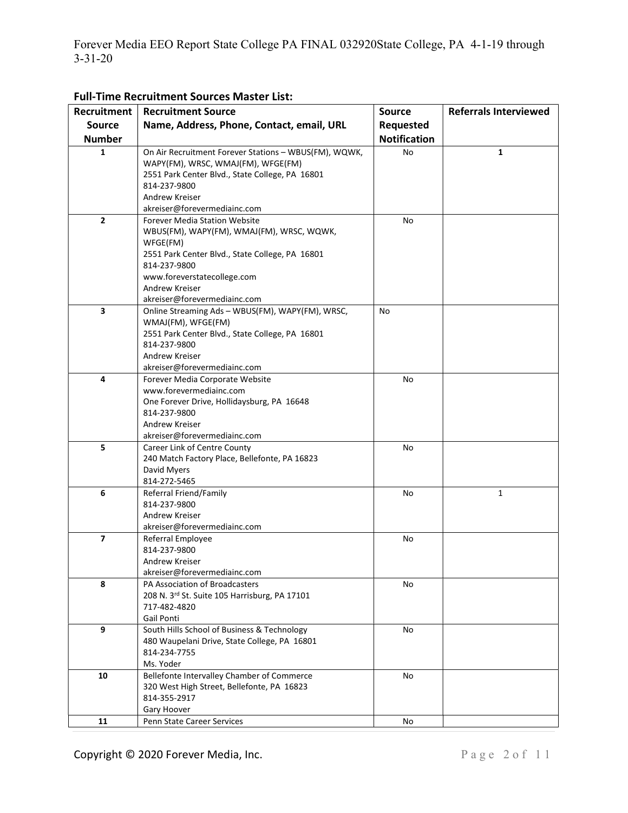| Recruitment             | <b>Recruitment Source</b>                             | <b>Source</b>       | <b>Referrals Interviewed</b> |
|-------------------------|-------------------------------------------------------|---------------------|------------------------------|
| <b>Source</b>           | Name, Address, Phone, Contact, email, URL             |                     |                              |
|                         |                                                       | Requested           |                              |
| <b>Number</b>           |                                                       | <b>Notification</b> |                              |
| 1                       | On Air Recruitment Forever Stations - WBUS(FM), WQWK, | No                  | $\mathbf{1}$                 |
|                         | WAPY(FM), WRSC, WMAJ(FM), WFGE(FM)                    |                     |                              |
|                         | 2551 Park Center Blvd., State College, PA 16801       |                     |                              |
|                         | 814-237-9800<br>Andrew Kreiser                        |                     |                              |
|                         | akreiser@forevermediainc.com                          |                     |                              |
| $\overline{2}$          | <b>Forever Media Station Website</b>                  | No                  |                              |
|                         | WBUS(FM), WAPY(FM), WMAJ(FM), WRSC, WQWK,             |                     |                              |
|                         | WFGE(FM)                                              |                     |                              |
|                         | 2551 Park Center Blvd., State College, PA 16801       |                     |                              |
|                         | 814-237-9800                                          |                     |                              |
|                         | www.foreverstatecollege.com                           |                     |                              |
|                         | Andrew Kreiser                                        |                     |                              |
|                         | akreiser@forevermediainc.com                          |                     |                              |
| 3                       | Online Streaming Ads - WBUS(FM), WAPY(FM), WRSC,      | No                  |                              |
|                         | WMAJ(FM), WFGE(FM)                                    |                     |                              |
|                         | 2551 Park Center Blvd., State College, PA 16801       |                     |                              |
|                         | 814-237-9800                                          |                     |                              |
|                         | Andrew Kreiser                                        |                     |                              |
|                         | akreiser@forevermediainc.com                          |                     |                              |
| 4                       | Forever Media Corporate Website                       | No                  |                              |
|                         | www.forevermediainc.com                               |                     |                              |
|                         | One Forever Drive, Hollidaysburg, PA 16648            |                     |                              |
|                         | 814-237-9800                                          |                     |                              |
|                         | Andrew Kreiser                                        |                     |                              |
|                         | akreiser@forevermediainc.com                          |                     |                              |
| 5                       | Career Link of Centre County                          | No                  |                              |
|                         | 240 Match Factory Place, Bellefonte, PA 16823         |                     |                              |
|                         | David Myers                                           |                     |                              |
| 6                       | 814-272-5465                                          |                     |                              |
|                         | Referral Friend/Family<br>814-237-9800                | No                  | $\mathbf{1}$                 |
|                         | Andrew Kreiser                                        |                     |                              |
|                         | akreiser@forevermediainc.com                          |                     |                              |
| $\overline{\mathbf{z}}$ | Referral Employee                                     | No                  |                              |
|                         | 814-237-9800                                          |                     |                              |
|                         | Andrew Kreiser                                        |                     |                              |
|                         | akreiser@forevermediainc.com                          |                     |                              |
| 8                       | PA Association of Broadcasters                        | No                  |                              |
|                         | 208 N. 3rd St. Suite 105 Harrisburg, PA 17101         |                     |                              |
|                         | 717-482-4820                                          |                     |                              |
|                         | Gail Ponti                                            |                     |                              |
| 9                       | South Hills School of Business & Technology           | No                  |                              |
|                         | 480 Waupelani Drive, State College, PA 16801          |                     |                              |
|                         | 814-234-7755                                          |                     |                              |
|                         | Ms. Yoder                                             |                     |                              |
| 10                      | Bellefonte Intervalley Chamber of Commerce            | No                  |                              |
|                         | 320 West High Street, Bellefonte, PA 16823            |                     |                              |
|                         | 814-355-2917                                          |                     |                              |
|                         | Gary Hoover                                           |                     |                              |
| 11                      | Penn State Career Services                            | No                  |                              |

Full-Time Recruitment Sources Master List: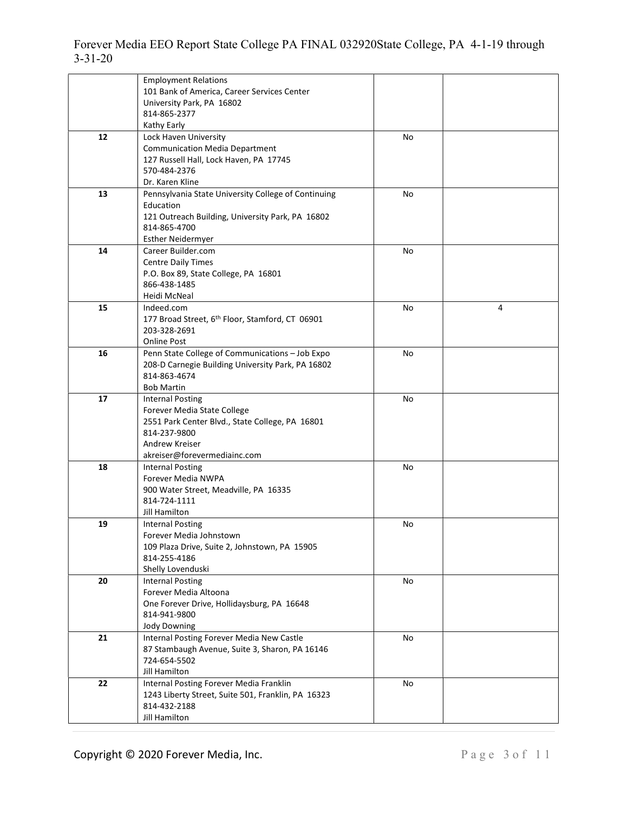|    | <b>Employment Relations</b><br>101 Bank of America, Career Services Center<br>University Park, PA 16802<br>814-865-2377<br>Kathy Early                                      |    |   |
|----|-----------------------------------------------------------------------------------------------------------------------------------------------------------------------------|----|---|
| 12 | Lock Haven University<br><b>Communication Media Department</b><br>127 Russell Hall, Lock Haven, PA 17745<br>570-484-2376<br>Dr. Karen Kline                                 | No |   |
| 13 | Pennsylvania State University College of Continuing<br>Education<br>121 Outreach Building, University Park, PA 16802<br>814-865-4700<br><b>Esther Neidermyer</b>            | No |   |
| 14 | Career Builder.com<br><b>Centre Daily Times</b><br>P.O. Box 89, State College, PA 16801<br>866-438-1485<br>Heidi McNeal                                                     | No |   |
| 15 | Indeed.com<br>177 Broad Street, 6 <sup>th</sup> Floor, Stamford, CT 06901<br>203-328-2691<br><b>Online Post</b>                                                             | No | 4 |
| 16 | Penn State College of Communications - Job Expo<br>208-D Carnegie Building University Park, PA 16802<br>814-863-4674<br><b>Bob Martin</b>                                   | No |   |
| 17 | <b>Internal Posting</b><br>Forever Media State College<br>2551 Park Center Blvd., State College, PA 16801<br>814-237-9800<br>Andrew Kreiser<br>akreiser@forevermediainc.com | No |   |
| 18 | <b>Internal Posting</b><br>Forever Media NWPA<br>900 Water Street, Meadville, PA 16335<br>814-724-1111<br>Jill Hamilton                                                     | No |   |
| 19 | <b>Internal Posting</b><br>Forever Media Johnstown<br>109 Plaza Drive, Suite 2, Johnstown, PA 15905<br>814-255-4186<br>Shelly Lovenduski                                    | No |   |
| 20 | <b>Internal Posting</b><br>Forever Media Altoona<br>One Forever Drive, Hollidaysburg, PA 16648<br>814-941-9800<br><b>Jody Downing</b>                                       | No |   |
| 21 | Internal Posting Forever Media New Castle<br>87 Stambaugh Avenue, Suite 3, Sharon, PA 16146<br>724-654-5502<br>Jill Hamilton                                                | No |   |
| 22 | Internal Posting Forever Media Franklin<br>1243 Liberty Street, Suite 501, Franklin, PA 16323<br>814-432-2188<br>Jill Hamilton                                              | No |   |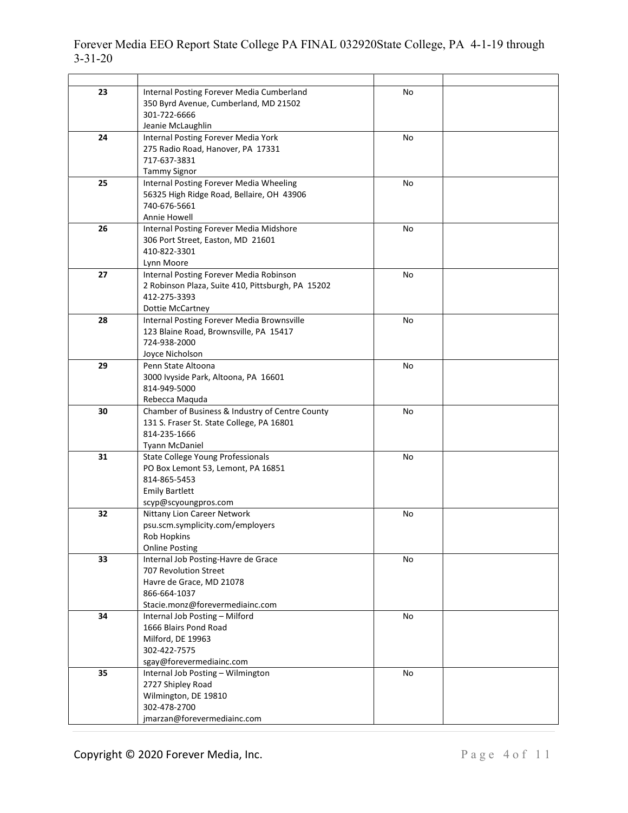#### 3-31-20 23 Internal Posting Forever Media Cumberland No  $\mathbf{I}$ Ш 350 Byrd Avenue, Cumberland, MD 21502 301-722-6666

| Forever Media EEO Report State College PA FINAL 032920State College, PA 4-1-19 through |  |  |
|----------------------------------------------------------------------------------------|--|--|
| $3 - 31 - 20$                                                                          |  |  |

|    | ternari osting rorever ividala camberland<br>350 Byrd Avenue, Cumberland, MD 21502 |    |  |
|----|------------------------------------------------------------------------------------|----|--|
|    | 301-722-6666                                                                       |    |  |
|    | Jeanie McLaughlin                                                                  |    |  |
| 24 | Internal Posting Forever Media York                                                | No |  |
|    | 275 Radio Road, Hanover, PA 17331                                                  |    |  |
|    | 717-637-3831                                                                       |    |  |
|    | <b>Tammy Signor</b>                                                                |    |  |
| 25 | Internal Posting Forever Media Wheeling                                            | No |  |
|    | 56325 High Ridge Road, Bellaire, OH 43906                                          |    |  |
|    | 740-676-5661                                                                       |    |  |
|    | Annie Howell                                                                       |    |  |
| 26 | Internal Posting Forever Media Midshore                                            | No |  |
|    | 306 Port Street, Easton, MD 21601                                                  |    |  |
|    | 410-822-3301                                                                       |    |  |
|    | Lynn Moore                                                                         |    |  |
| 27 | Internal Posting Forever Media Robinson                                            | No |  |
|    | 2 Robinson Plaza, Suite 410, Pittsburgh, PA 15202                                  |    |  |
|    | 412-275-3393                                                                       |    |  |
|    | <b>Dottie McCartney</b>                                                            |    |  |
| 28 | Internal Posting Forever Media Brownsville                                         | No |  |
|    | 123 Blaine Road, Brownsville, PA 15417                                             |    |  |
|    | 724-938-2000                                                                       |    |  |
|    | Joyce Nicholson                                                                    |    |  |
| 29 | Penn State Altoona                                                                 | No |  |
|    | 3000 Ivyside Park, Altoona, PA 16601                                               |    |  |
|    | 814-949-5000                                                                       |    |  |
|    | Rebecca Maquda                                                                     |    |  |
| 30 | Chamber of Business & Industry of Centre County                                    | No |  |
|    | 131 S. Fraser St. State College, PA 16801                                          |    |  |
|    | 814-235-1666                                                                       |    |  |
|    | <b>Tyann McDaniel</b>                                                              |    |  |
| 31 | <b>State College Young Professionals</b>                                           | No |  |
|    | PO Box Lemont 53, Lemont, PA 16851                                                 |    |  |
|    | 814-865-5453                                                                       |    |  |
|    | <b>Emily Bartlett</b>                                                              |    |  |
| 32 | scyp@scyoungpros.com<br>Nittany Lion Career Network                                | No |  |
|    | psu.scm.symplicity.com/employers                                                   |    |  |
|    | <b>Rob Hopkins</b>                                                                 |    |  |
|    | <b>Online Posting</b>                                                              |    |  |
| 33 | Internal Job Posting-Havre de Grace                                                | No |  |
|    | 707 Revolution Street                                                              |    |  |
|    | Havre de Grace, MD 21078                                                           |    |  |
|    | 866-664-1037                                                                       |    |  |
|    | Stacie.monz@forevermediainc.com                                                    |    |  |
| 34 | Internal Job Posting - Milford                                                     | No |  |
|    | 1666 Blairs Pond Road                                                              |    |  |
|    | Milford, DE 19963                                                                  |    |  |
|    | 302-422-7575                                                                       |    |  |
|    | sgay@forevermediainc.com                                                           |    |  |
| 35 | Internal Job Posting - Wilmington                                                  | No |  |
|    | 2727 Shipley Road                                                                  |    |  |
|    | Wilmington, DE 19810                                                               |    |  |
|    | 302-478-2700                                                                       |    |  |
|    | jmarzan@forevermediainc.com                                                        |    |  |
|    |                                                                                    |    |  |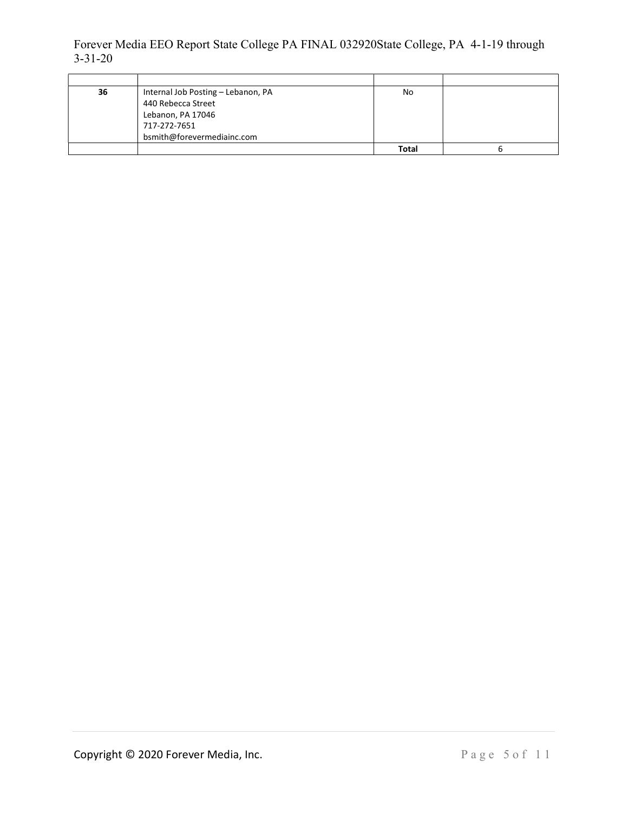| 36 | Internal Job Posting - Lebanon, PA | No           |  |
|----|------------------------------------|--------------|--|
|    | 440 Rebecca Street                 |              |  |
|    | Lebanon, PA 17046                  |              |  |
|    | 717-272-7651                       |              |  |
|    | bsmith@forevermediainc.com         |              |  |
|    |                                    | <b>Total</b> |  |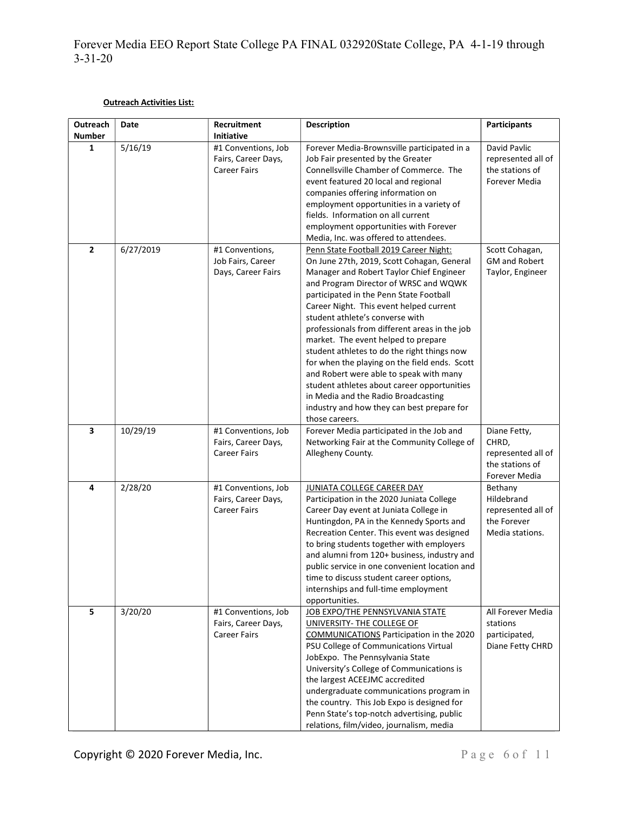### Outreach Activities List:

| <b>Outreach</b><br>Number | Date      | Recruitment<br>Initiative                                         | <b>Description</b>                                                                                                                                                                                                                                                                                                                                                                                                                                                                                                                                                                                                                                                                          | <b>Participants</b>                                                             |
|---------------------------|-----------|-------------------------------------------------------------------|---------------------------------------------------------------------------------------------------------------------------------------------------------------------------------------------------------------------------------------------------------------------------------------------------------------------------------------------------------------------------------------------------------------------------------------------------------------------------------------------------------------------------------------------------------------------------------------------------------------------------------------------------------------------------------------------|---------------------------------------------------------------------------------|
| $\mathbf{1}$              | 5/16/19   | #1 Conventions, Job<br>Fairs, Career Days,<br><b>Career Fairs</b> | Forever Media-Brownsville participated in a<br>Job Fair presented by the Greater<br>Connellsville Chamber of Commerce. The<br>event featured 20 local and regional<br>companies offering information on<br>employment opportunities in a variety of<br>fields. Information on all current<br>employment opportunities with Forever<br>Media, Inc. was offered to attendees.                                                                                                                                                                                                                                                                                                                 | David Pavlic<br>represented all of<br>the stations of<br>Forever Media          |
| $\overline{2}$            | 6/27/2019 | #1 Conventions,<br>Job Fairs, Career<br>Days, Career Fairs        | Penn State Football 2019 Career Night:<br>On June 27th, 2019, Scott Cohagan, General<br>Manager and Robert Taylor Chief Engineer<br>and Program Director of WRSC and WQWK<br>participated in the Penn State Football<br>Career Night. This event helped current<br>student athlete's converse with<br>professionals from different areas in the job<br>market. The event helped to prepare<br>student athletes to do the right things now<br>for when the playing on the field ends. Scott<br>and Robert were able to speak with many<br>student athletes about career opportunities<br>in Media and the Radio Broadcasting<br>industry and how they can best prepare for<br>those careers. | Scott Cohagan,<br><b>GM and Robert</b><br>Taylor, Engineer                      |
| 3                         | 10/29/19  | #1 Conventions, Job<br>Fairs, Career Days,<br><b>Career Fairs</b> | Forever Media participated in the Job and<br>Networking Fair at the Community College of<br>Allegheny County.                                                                                                                                                                                                                                                                                                                                                                                                                                                                                                                                                                               | Diane Fetty,<br>CHRD,<br>represented all of<br>the stations of<br>Forever Media |
| 4                         | 2/28/20   | #1 Conventions, Job<br>Fairs, Career Days,<br><b>Career Fairs</b> | <b>JUNIATA COLLEGE CAREER DAY</b><br>Participation in the 2020 Juniata College<br>Career Day event at Juniata College in<br>Huntingdon, PA in the Kennedy Sports and<br>Recreation Center. This event was designed<br>to bring students together with employers<br>and alumni from 120+ business, industry and<br>public service in one convenient location and<br>time to discuss student career options,<br>internships and full-time employment<br>opportunities.                                                                                                                                                                                                                        | Bethany<br>Hildebrand<br>represented all of<br>the Forever<br>Media stations.   |
| 5                         | 3/20/20   | #1 Conventions, Job<br>Fairs, Career Days,<br><b>Career Fairs</b> | JOB EXPO/THE PENNSYLVANIA STATE<br>UNIVERSITY- THE COLLEGE OF<br><b>COMMUNICATIONS</b> Participation in the 2020<br>PSU College of Communications Virtual<br>JobExpo. The Pennsylvania State<br>University's College of Communications is<br>the largest ACEEJMC accredited<br>undergraduate communications program in<br>the country. This Job Expo is designed for<br>Penn State's top-notch advertising, public<br>relations, film/video, journalism, media                                                                                                                                                                                                                              | All Forever Media<br>stations<br>participated,<br>Diane Fetty CHRD              |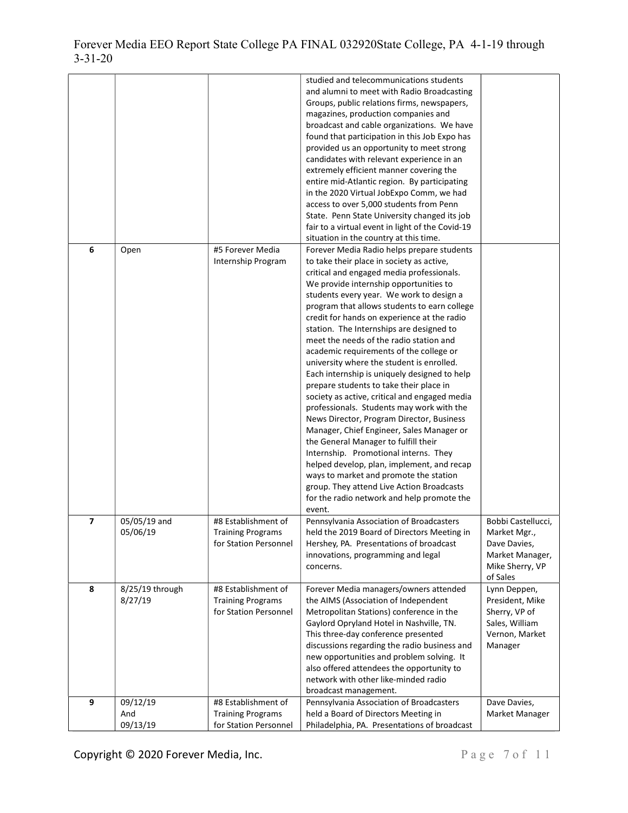| 6              | Open                        | #5 Forever Media                                                         | studied and telecommunications students<br>and alumni to meet with Radio Broadcasting<br>Groups, public relations firms, newspapers,<br>magazines, production companies and<br>broadcast and cable organizations. We have<br>found that participation in this Job Expo has<br>provided us an opportunity to meet strong<br>candidates with relevant experience in an<br>extremely efficient manner covering the<br>entire mid-Atlantic region. By participating<br>in the 2020 Virtual JobExpo Comm, we had<br>access to over 5,000 students from Penn<br>State. Penn State University changed its job<br>fair to a virtual event in light of the Covid-19<br>situation in the country at this time.<br>Forever Media Radio helps prepare students                                                                                                                                                                                                                                                                |                                                                                                      |
|----------------|-----------------------------|--------------------------------------------------------------------------|-------------------------------------------------------------------------------------------------------------------------------------------------------------------------------------------------------------------------------------------------------------------------------------------------------------------------------------------------------------------------------------------------------------------------------------------------------------------------------------------------------------------------------------------------------------------------------------------------------------------------------------------------------------------------------------------------------------------------------------------------------------------------------------------------------------------------------------------------------------------------------------------------------------------------------------------------------------------------------------------------------------------|------------------------------------------------------------------------------------------------------|
|                |                             | Internship Program                                                       | to take their place in society as active,<br>critical and engaged media professionals.<br>We provide internship opportunities to<br>students every year. We work to design a<br>program that allows students to earn college<br>credit for hands on experience at the radio<br>station. The Internships are designed to<br>meet the needs of the radio station and<br>academic requirements of the college or<br>university where the student is enrolled.<br>Each internship is uniquely designed to help<br>prepare students to take their place in<br>society as active, critical and engaged media<br>professionals. Students may work with the<br>News Director, Program Director, Business<br>Manager, Chief Engineer, Sales Manager or<br>the General Manager to fulfill their<br>Internship. Promotional interns. They<br>helped develop, plan, implement, and recap<br>ways to market and promote the station<br>group. They attend Live Action Broadcasts<br>for the radio network and help promote the |                                                                                                      |
| $\overline{ }$ | 05/05/19 and<br>05/06/19    | #8 Establishment of<br><b>Training Programs</b><br>for Station Personnel | event.<br>Pennsylvania Association of Broadcasters<br>held the 2019 Board of Directors Meeting in<br>Hershey, PA. Presentations of broadcast<br>innovations, programming and legal<br>concerns.                                                                                                                                                                                                                                                                                                                                                                                                                                                                                                                                                                                                                                                                                                                                                                                                                   | Bobbi Castellucci,<br>Market Mgr.,<br>Dave Davies,<br>Market Manager,<br>Mike Sherry, VP<br>of Sales |
| 8              | 8/25/19 through<br>8/27/19  | #8 Establishment of<br><b>Training Programs</b><br>for Station Personnel | Forever Media managers/owners attended<br>the AIMS (Association of Independent<br>Metropolitan Stations) conference in the<br>Gaylord Opryland Hotel in Nashville, TN.<br>This three-day conference presented<br>discussions regarding the radio business and<br>new opportunities and problem solving. It<br>also offered attendees the opportunity to<br>network with other like-minded radio<br>broadcast management.                                                                                                                                                                                                                                                                                                                                                                                                                                                                                                                                                                                          | Lynn Deppen,<br>President, Mike<br>Sherry, VP of<br>Sales, William<br>Vernon, Market<br>Manager      |
| 9              | 09/12/19<br>And<br>09/13/19 | #8 Establishment of<br><b>Training Programs</b><br>for Station Personnel | Pennsylvania Association of Broadcasters<br>held a Board of Directors Meeting in<br>Philadelphia, PA. Presentations of broadcast                                                                                                                                                                                                                                                                                                                                                                                                                                                                                                                                                                                                                                                                                                                                                                                                                                                                                  | Dave Davies,<br>Market Manager                                                                       |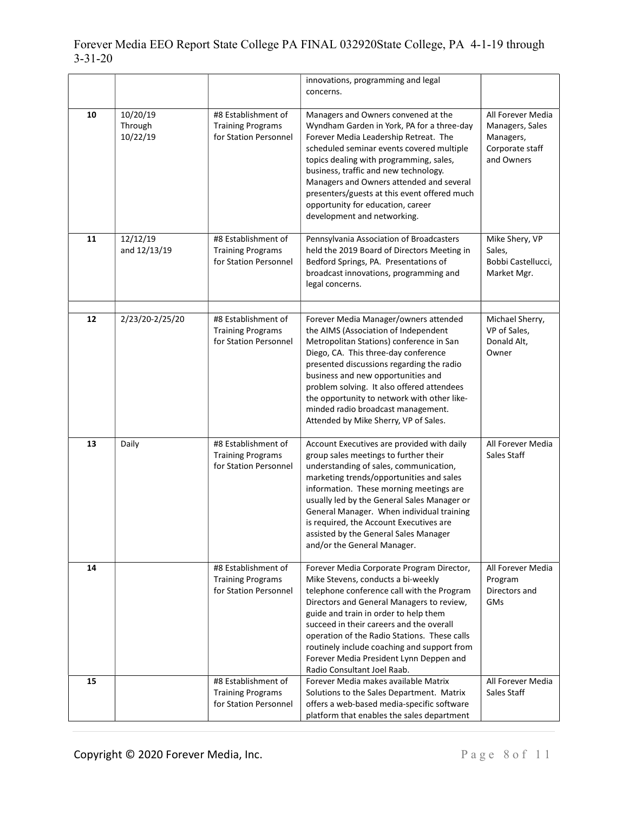|    |                                 |                                                                          | innovations, programming and legal<br>concerns.                                                                                                                                                                                                                                                                                                                                                                                          |                                                                                    |
|----|---------------------------------|--------------------------------------------------------------------------|------------------------------------------------------------------------------------------------------------------------------------------------------------------------------------------------------------------------------------------------------------------------------------------------------------------------------------------------------------------------------------------------------------------------------------------|------------------------------------------------------------------------------------|
| 10 | 10/20/19<br>Through<br>10/22/19 | #8 Establishment of<br><b>Training Programs</b><br>for Station Personnel | Managers and Owners convened at the<br>Wyndham Garden in York, PA for a three-day<br>Forever Media Leadership Retreat. The<br>scheduled seminar events covered multiple<br>topics dealing with programming, sales,<br>business, traffic and new technology.<br>Managers and Owners attended and several<br>presenters/guests at this event offered much<br>opportunity for education, career<br>development and networking.              | All Forever Media<br>Managers, Sales<br>Managers,<br>Corporate staff<br>and Owners |
| 11 | 12/12/19<br>and 12/13/19        | #8 Establishment of<br><b>Training Programs</b><br>for Station Personnel | Pennsylvania Association of Broadcasters<br>held the 2019 Board of Directors Meeting in<br>Bedford Springs, PA. Presentations of<br>broadcast innovations, programming and<br>legal concerns.                                                                                                                                                                                                                                            | Mike Shery, VP<br>Sales,<br>Bobbi Castellucci,<br>Market Mgr.                      |
| 12 | 2/23/20-2/25/20                 | #8 Establishment of<br><b>Training Programs</b><br>for Station Personnel | Forever Media Manager/owners attended<br>the AIMS (Association of Independent<br>Metropolitan Stations) conference in San<br>Diego, CA. This three-day conference<br>presented discussions regarding the radio<br>business and new opportunities and<br>problem solving. It also offered attendees<br>the opportunity to network with other like-<br>minded radio broadcast management.<br>Attended by Mike Sherry, VP of Sales.         | Michael Sherry,<br>VP of Sales,<br>Donald Alt,<br>Owner                            |
| 13 | Daily                           | #8 Establishment of<br><b>Training Programs</b><br>for Station Personnel | Account Executives are provided with daily<br>group sales meetings to further their<br>understanding of sales, communication,<br>marketing trends/opportunities and sales<br>information. These morning meetings are<br>usually led by the General Sales Manager or<br>General Manager. When individual training<br>is required, the Account Executives are<br>assisted by the General Sales Manager<br>and/or the General Manager.      | All Forever Media<br>Sales Staff                                                   |
| 14 |                                 | #8 Establishment of<br><b>Training Programs</b><br>for Station Personnel | Forever Media Corporate Program Director,<br>Mike Stevens, conducts a bi-weekly<br>telephone conference call with the Program<br>Directors and General Managers to review,<br>guide and train in order to help them<br>succeed in their careers and the overall<br>operation of the Radio Stations. These calls<br>routinely include coaching and support from<br>Forever Media President Lynn Deppen and<br>Radio Consultant Joel Raab. | All Forever Media<br>Program<br>Directors and<br>GMs                               |
| 15 |                                 | #8 Establishment of<br><b>Training Programs</b><br>for Station Personnel | Forever Media makes available Matrix<br>Solutions to the Sales Department. Matrix<br>offers a web-based media-specific software<br>platform that enables the sales department                                                                                                                                                                                                                                                            | All Forever Media<br>Sales Staff                                                   |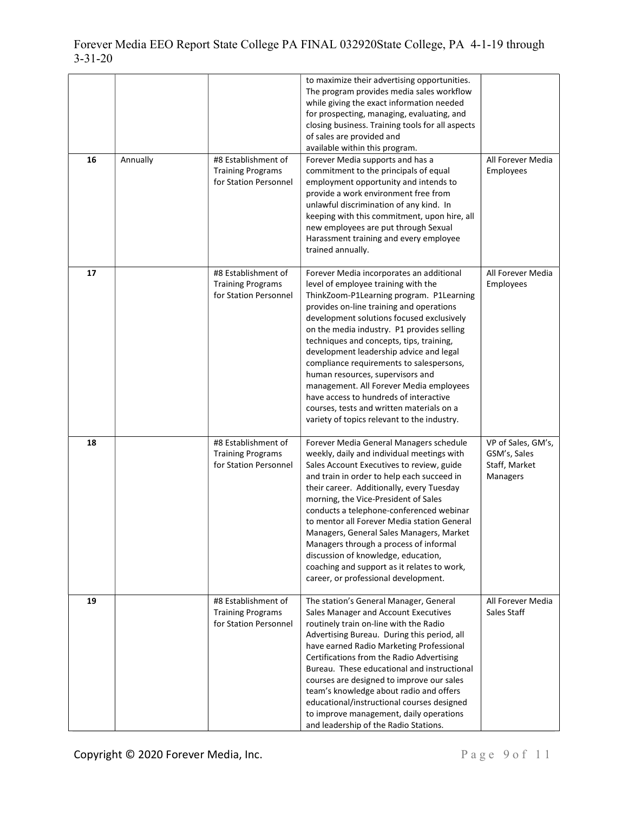| 16 | Annually | #8 Establishment of<br><b>Training Programs</b><br>for Station Personnel | to maximize their advertising opportunities.<br>The program provides media sales workflow<br>while giving the exact information needed<br>for prospecting, managing, evaluating, and<br>closing business. Training tools for all aspects<br>of sales are provided and<br>available within this program.<br>Forever Media supports and has a<br>commitment to the principals of equal<br>employment opportunity and intends to<br>provide a work environment free from<br>unlawful discrimination of any kind. In<br>keeping with this commitment, upon hire, all<br>new employees are put through Sexual<br>Harassment training and every employee<br>trained annually. | All Forever Media<br>Employees                                  |
|----|----------|--------------------------------------------------------------------------|-------------------------------------------------------------------------------------------------------------------------------------------------------------------------------------------------------------------------------------------------------------------------------------------------------------------------------------------------------------------------------------------------------------------------------------------------------------------------------------------------------------------------------------------------------------------------------------------------------------------------------------------------------------------------|-----------------------------------------------------------------|
| 17 |          | #8 Establishment of<br><b>Training Programs</b><br>for Station Personnel | Forever Media incorporates an additional<br>level of employee training with the<br>ThinkZoom-P1Learning program. P1Learning<br>provides on-line training and operations<br>development solutions focused exclusively<br>on the media industry. P1 provides selling<br>techniques and concepts, tips, training,<br>development leadership advice and legal<br>compliance requirements to salespersons,<br>human resources, supervisors and<br>management. All Forever Media employees<br>have access to hundreds of interactive<br>courses, tests and written materials on a<br>variety of topics relevant to the industry.                                              | All Forever Media<br>Employees                                  |
| 18 |          | #8 Establishment of<br><b>Training Programs</b><br>for Station Personnel | Forever Media General Managers schedule<br>weekly, daily and individual meetings with<br>Sales Account Executives to review, guide<br>and train in order to help each succeed in<br>their career. Additionally, every Tuesday<br>morning, the Vice-President of Sales<br>conducts a telephone-conferenced webinar<br>to mentor all Forever Media station General<br>Managers, General Sales Managers, Market<br>Managers through a process of informal<br>discussion of knowledge, education,<br>coaching and support as it relates to work,<br>career, or professional development.                                                                                    | VP of Sales, GM's,<br>GSM's, Sales<br>Staff, Market<br>Managers |
| 19 |          | #8 Establishment of<br><b>Training Programs</b><br>for Station Personnel | The station's General Manager, General<br>Sales Manager and Account Executives<br>routinely train on-line with the Radio<br>Advertising Bureau. During this period, all<br>have earned Radio Marketing Professional<br>Certifications from the Radio Advertising<br>Bureau. These educational and instructional<br>courses are designed to improve our sales<br>team's knowledge about radio and offers<br>educational/instructional courses designed<br>to improve management, daily operations<br>and leadership of the Radio Stations.                                                                                                                               | All Forever Media<br>Sales Staff                                |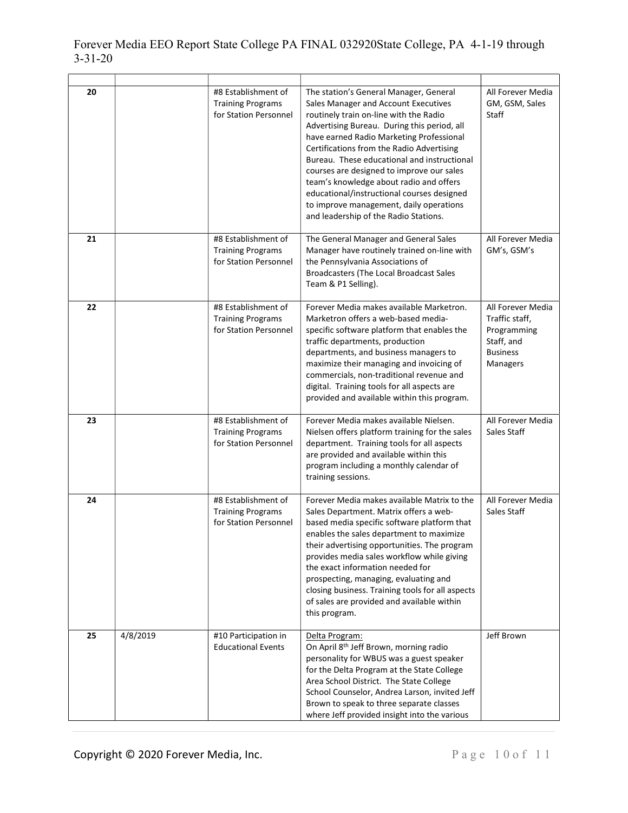| 20 |          | #8 Establishment of<br><b>Training Programs</b><br>for Station Personnel | The station's General Manager, General<br>Sales Manager and Account Executives<br>routinely train on-line with the Radio<br>Advertising Bureau. During this period, all<br>have earned Radio Marketing Professional<br>Certifications from the Radio Advertising<br>Bureau. These educational and instructional<br>courses are designed to improve our sales<br>team's knowledge about radio and offers<br>educational/instructional courses designed<br>to improve management, daily operations<br>and leadership of the Radio Stations. | All Forever Media<br>GM, GSM, Sales<br>Staff                                                    |
|----|----------|--------------------------------------------------------------------------|-------------------------------------------------------------------------------------------------------------------------------------------------------------------------------------------------------------------------------------------------------------------------------------------------------------------------------------------------------------------------------------------------------------------------------------------------------------------------------------------------------------------------------------------|-------------------------------------------------------------------------------------------------|
| 21 |          | #8 Establishment of<br><b>Training Programs</b><br>for Station Personnel | The General Manager and General Sales<br>Manager have routinely trained on-line with<br>the Pennsylvania Associations of<br><b>Broadcasters (The Local Broadcast Sales</b><br>Team & P1 Selling).                                                                                                                                                                                                                                                                                                                                         | All Forever Media<br>GM's, GSM's                                                                |
| 22 |          | #8 Establishment of<br><b>Training Programs</b><br>for Station Personnel | Forever Media makes available Marketron.<br>Marketron offers a web-based media-<br>specific software platform that enables the<br>traffic departments, production<br>departments, and business managers to<br>maximize their managing and invoicing of<br>commercials, non-traditional revenue and<br>digital. Training tools for all aspects are<br>provided and available within this program.                                                                                                                                          | All Forever Media<br>Traffic staff,<br>Programming<br>Staff, and<br><b>Business</b><br>Managers |
| 23 |          | #8 Establishment of<br><b>Training Programs</b><br>for Station Personnel | Forever Media makes available Nielsen.<br>Nielsen offers platform training for the sales<br>department. Training tools for all aspects<br>are provided and available within this<br>program including a monthly calendar of<br>training sessions.                                                                                                                                                                                                                                                                                         | All Forever Media<br>Sales Staff                                                                |
| 24 |          | #8 Establishment of<br><b>Training Programs</b><br>for Station Personnel | Forever Media makes available Matrix to the<br>Sales Department. Matrix offers a web-<br>based media specific software platform that<br>enables the sales department to maximize<br>their advertising opportunities. The program<br>provides media sales workflow while giving<br>the exact information needed for<br>prospecting, managing, evaluating and<br>closing business. Training tools for all aspects<br>of sales are provided and available within<br>this program.                                                            | All Forever Media<br>Sales Staff                                                                |
| 25 | 4/8/2019 | #10 Participation in<br><b>Educational Events</b>                        | Delta Program:<br>On April 8 <sup>th</sup> Jeff Brown, morning radio<br>personality for WBUS was a guest speaker<br>for the Delta Program at the State College<br>Area School District. The State College<br>School Counselor, Andrea Larson, invited Jeff<br>Brown to speak to three separate classes<br>where Jeff provided insight into the various                                                                                                                                                                                    | Jeff Brown                                                                                      |